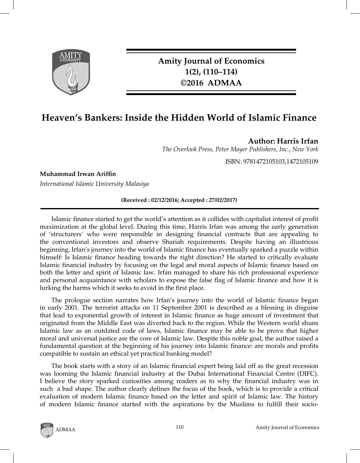

**Amity Journal of Economics 1(2), (110–114) ©2016 ADMAA**

# **Heaven's Bankers: Inside the Hidden World of Islamic Finance**

**Author: Harris Irfan**

*The Overlook Press, Peter Mayer Publishers, Inc., New York*

ISBN: 9781472105103,1472105109

**Muhammad Irwan Ariffin**

*International Islamic University Malasiya*

**(Received : 02/12/2016; Accepted : 27/02/2017)**

Islamic finance started to get the world's attention as it collides with capitalist interest of profit maximization at the global level. During this time, Harris Irfan was among the early generation of 'structurers' who were responsible in designing financial contracts that are appealing to the conventional investors and observe Shariah requirements. Despite having an illustrious beginning, Irfan's journey into the world of Islamic finance has eventually sparked a puzzle within himself: Is Islamic finance heading towards the right direction? He started to critically evaluate Islamic financial industry by focusing on the legal and moral aspects of Islamic finance based on both the letter and spirit of Islamic law. Irfan managed to share his rich professional experience and personal acquaintance with scholars to expose the false flag of Islamic finance and how it is lurking the harms which it seeks to avoid in the first place.

The prologue section narrates how Irfan's journey into the world of Islamic finance began in early 2001. The terrorist attacks on 11 September 2001 is described as a blessing in disguise that lead to exponential growth of interest in Islamic finance as huge amount of investment that originated from the Middle East was diverted back to the region. While the Western world shuns Islamic law as an outdated code of laws, Islamic finance may be able to be prove that higher moral and universal justice are the core of Islamic law. Despite this noble goal, the author raised a fundamental question at the beginning of his journey into Islamic finance: are morals and profits compatible to sustain an ethical yet practical banking model?

The book starts with a story of an Islamic financial expert being laid off as the great recession was looming the Islamic financial industry at the Dubai International Financial Centre (DIFC). I believe the story sparked curiosities among readers as to why the financial industry was in such a bad shape. The author clearly defines the focus of the book, which is to provide a critical evaluation of modern Islamic finance based on the letter and spirit of Islamic law. The history of modern Islamic finance started with the aspirations by the Muslims to fulfill their socio-

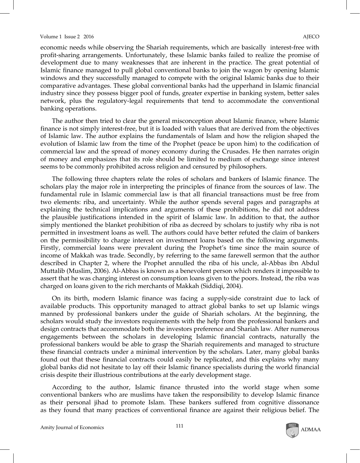#### Volume 1 Issue 2 2016 **AJECO**

economic needs while observing the Shariah requirements, which are basically interest-free with profit-sharing arrangements. Unfortunately, these Islamic banks failed to realize the promise of development due to many weaknesses that are inherent in the practice. The great potential of Islamic finance managed to pull global conventional banks to join the wagon by opening Islamic windows and they successfully managed to compete with the original Islamic banks due to their comparative advantages. These global conventional banks had the upperhand in Islamic financial industry since they possess bigger pool of funds, greater expertise in banking system, better sales network, plus the regulatory-legal requirements that tend to accommodate the conventional banking operations.

The author then tried to clear the general misconception about Islamic finance, where Islamic finance is not simply interest-free, but it is loaded with values that are derived from the objectives of Islamic law. The author explains the fundamentals of Islam and how the religion shaped the evolution of Islamic law from the time of the Prophet (peace be upon him) to the codification of commercial law and the spread of money economy during the Crusades. He then narrates origin of money and emphasizes that its role should be limited to medium of exchange since interest seems to be commonly prohibited across religion and censured by philosophers.

The following three chapters relate the roles of scholars and bankers of Islamic finance. The scholars play the major role in interpreting the principles of finance from the sources of law. The fundamental rule in Islamic commercial law is that all financial transactions must be free from two elements: riba, and uncertainty. While the author spends several pages and paragraphs at explaining the technical implications and arguments of these prohibitions, he did not address the plausible justifications intended in the spirit of Islamic law. In addition to that, the author simply mentioned the blanket prohibition of riba as decreed by scholars to justify why riba is not permitted in investment loans as well. The authors could have better refuted the claim of bankers on the permissibility to charge interest on investment loans based on the following arguments. Firstly, commercial loans were prevalent during the Prophet's time since the main source of income of Makkah was trade. Secondly, by referring to the same farewell sermon that the author described in Chapter 2, where the Prophet annulled the riba of his uncle, al-Abbas ibn Abdul Muttalib (Muslim, 2006). Al-Abbas is known as a benevolent person which renders it impossible to assert that he was charging interest on consumption loans given to the poors. Instead, the riba was charged on loans given to the rich merchants of Makkah (Siddiqi, 2004).

On its birth, modern Islamic finance was facing a supply-side constraint due to lack of available products. This opportunity managed to attract global banks to set up Islamic wings manned by professional bankers under the guide of Shariah scholars. At the beginning, the scholars would study the investors requirements with the help from the professional bankers and design contracts that accommodate both the investors preference and Shariah law. After numerous engagements between the scholars in developing Islamic financial contracts, naturally the professional bankers would be able to grasp the Shariah requirements and managed to structure these financial contracts under a minimal intervention by the scholars. Later, many global banks found out that these financial contracts could easily be replicated, and this explains why many global banks did not hesitate to lay off their Islamic finance specialists during the world financial crisis despite their illustrious contributions at the early development stage.

According to the author, Islamic finance thrusted into the world stage when some conventional bankers who are muslims have taken the responsibility to develop Islamic finance as their personal jihad to promote Islam. These bankers suffered from cognitive dissonance as they found that many practices of conventional finance are against their religious belief. The

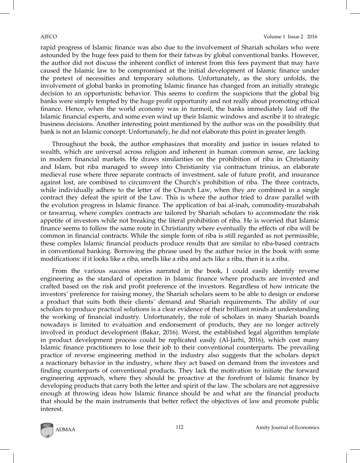rapid progress of Islamic finance was also due to the involvement of Shariah scholars who were astounded by the huge fees paid to them for their fatwas by global conventional banks. However, the author did not discuss the inherent conflict of interest from this fees payment that may have caused the Islamic law to be compromised at the initial development of Islamic finance under the pretext of necessities and temporary solutions. Unfortunately, as the story unfolds, the involvement of global banks in promoting Islamic finance has changed from an initially strategic decision to an opportunistic behavior. This seems to confirm the suspicions that the global big banks were simply tempted by the huge profit opportunity and not really about promoting ethical finance. Hence, when the world economy was in turmoil, the banks immediately laid off the Islamic financial experts, and some even wind up their Islamic windows and ascribe it to strategic business decisions. Another interesting point mentioned by the author was on the possibility that bank is not an Islamic concept. Unfortunately, he did not elaborate this point in greater length.

Throughout the book, the author emphasizes that morality and justice in issues related to wealth, which are universal across religion and inherent in human common sense, are lacking in modern financial markets. He draws similarities on the prohibition of riba in Christianity and Islam, but riba managed to sweep into Christianity via contractum trinius, an elaborate medieval ruse where three separate contracts of investment, sale of future profit, and insurance against lost, are combined to circumvent the Church's prohibition of riba. The three contracts, while individually adhere to the letter of the Church Law, when they are combined in a single contract they defeat the spirit of the Law. This is where the author tried to draw parallel with the evolution progress in Islamic finance. The application of bai al-inah, commodity-murabahah or tawarruq, where complex contracts are tailored by Shariah scholars to accommodate the risk appetite of investors while not breaking the literal prohibition of riba. He is worried that Islamic finance seems to follow the same route in Christianity where eventually the effects of riba will be common in financial contracts. While the simple form of riba is still regarded as not permissible, these complex Islamic financial products produce results that are similar to riba-based contracts in conventional banking. Borrowing the phrase used by the author twice in the book with some modifications: if it looks like a riba, smells like a riba and acts like a riba, then it is a riba.

From the various success stories narrated in the book, I could easily identify reverse engineering as the standard of operation in Islamic finance where products are invented and crafted based on the risk and profit preference of the investors. Regardless of how intricate the investors' preference for raising money, the Shariah scholars seem to be able to design or endorse a product that suits both their clients' demand and Shariah requirements. The ability of our scholars to produce practical solutions is a clear evidence of their brilliant minds at understanding the working of financial industry. Unfortunately, the role of scholars in many Shariah boards nowadays is limited to evaluation and endorsement of products, they are no longer actively involved in product development (Bakar, 2016). Worst, the established legal algorithm template in product development process could be replicated easily (Al-Jarhi, 2016), which cost many Islamic finance practitioners to lose their job to their conventional counterparts. The prevailing practice of reverse engineering method in the industry also suggests that the scholars depict a reactionary behavior in the industry, where they act based on demand from the investors and finding counterparts of conventional products. They lack the motivation to initiate the forward engineering approach, where they should be proactive at the forefront of Islamic finance by developing products that carry both the letter and spirit of the law. The scholars are not aggressive enough at throwing ideas how Islamic finance should be and what are the financial products that should be the main instruments that better reflect the objectives of law and promote public interest.

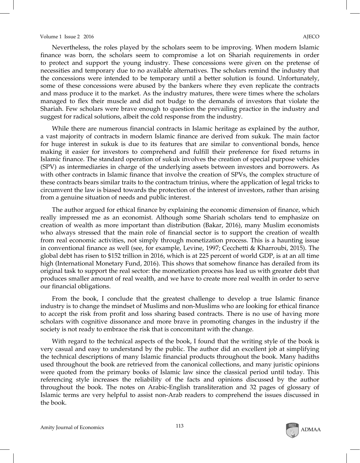#### Volume 1 Issue 2 2016 **AJECO**

Nevertheless, the roles played by the scholars seem to be improving. When modern Islamic finance was born, the scholars seem to compromise a lot on Shariah requirements in order to protect and support the young industry. These concessions were given on the pretense of necessities and temporary due to no available alternatives. The scholars remind the industry that the concessions were intended to be temporary until a better solution is found. Unfortunately, some of these concessions were abused by the bankers where they even replicate the contracts and mass produce it to the market. As the industry matures, there were times where the scholars managed to flex their muscle and did not budge to the demands of investors that violate the Shariah. Few scholars were brave enough to question the prevailing practice in the industry and suggest for radical solutions, albeit the cold response from the industry.

While there are numerous financial contracts in Islamic heritage as explained by the author, a vast majority of contracts in modern Islamic finance are derived from sukuk. The main factor for huge interest in sukuk is due to its features that are similar to conventional bonds, hence making it easier for investors to comprehend and fulfill their preference for fixed returns in Islamic finance. The standard operation of sukuk involves the creation of special purpose vehicles (SPV) as intermediaries in charge of the underlying assets between investors and borrowers. As with other contracts in Islamic finance that involve the creation of SPVs, the complex structure of these contracts bears similar traits to the contractum trinius, where the application of legal tricks to circumvent the law is biased towards the protection of the interest of investors, rather than arising from a genuine situation of needs and public interest.

The author argued for ethical finance by explaining the economic dimension of finance, which really impressed me as an economist. Although some Shariah scholars tend to emphasize on creation of wealth as more important than distribution (Bakar, 2016), many Muslim economists who always stressed that the main role of financial sector is to support the creation of wealth from real economic activities, not simply through monetization process. This is a haunting issue in conventional finance as well (see, for example, Levine, 1997; Cecchetti & Kharroubi, 2015). The global debt has risen to \$152 trillion in 2016, which is at 225 percent of world GDP, is at an all time high (International Monetary Fund, 2016). This shows that somehow finance has derailed from its original task to support the real sector: the monetization process has lead us with greater debt that produces smaller amount of real wealth, and we have to create more real wealth in order to serve our financial obligations.

From the book, I conclude that the greatest challenge to develop a true Islamic finance industry is to change the mindset of Muslims and non-Muslims who are looking for ethical finance to accept the risk from profit and loss sharing based contracts. There is no use of having more scholars with cognitive dissonance and more brave in promoting changes in the industry if the society is not ready to embrace the risk that is concomitant with the change.

With regard to the technical aspects of the book, I found that the writing style of the book is very casual and easy to understand by the public. The author did an excellent job at simplifying the technical descriptions of many Islamic financial products throughout the book. Many hadiths used throughout the book are retrieved from the canonical collections, and many juristic opinions were quoted from the primary books of Islamic law since the classical period until today. This referencing style increases the reliability of the facts and opinions discussed by the author throughout the book. The notes on Arabic-English transliteration and 32 pages of glossary of Islamic terms are very helpful to assist non-Arab readers to comprehend the issues discussed in the book.